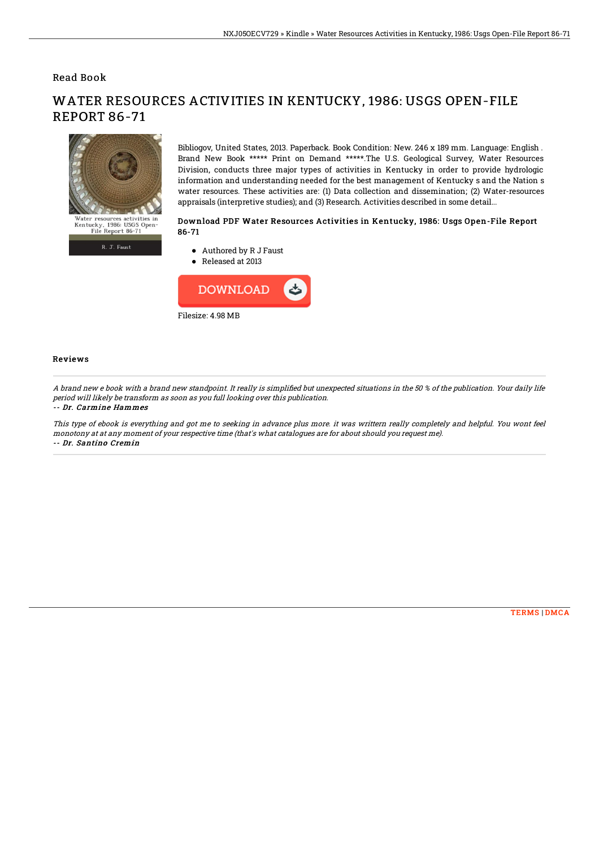## Read Book



R. J. Faust

WATER RESOURCES ACTIVITIES IN KENTUCKY, 1986: USGS OPEN-FILE REPORT 86-71

> Bibliogov, United States, 2013. Paperback. Book Condition: New. 246 x 189 mm. Language: English . Brand New Book \*\*\*\*\* Print on Demand \*\*\*\*\*.The U.S. Geological Survey, Water Resources Division, conducts three major types of activities in Kentucky in order to provide hydrologic information and understanding needed for the best management of Kentucky s and the Nation s water resources. These activities are: (1) Data collection and dissemination; (2) Water-resources appraisals (interpretive studies); and (3) Research. Activities described in some detail...

## Download PDF Water Resources Activities in Kentucky, 1986: Usgs Open-File Report 86-71

- Authored by R J Faust
- Released at 2013



## Reviews

A brand new e book with a brand new standpoint. It really is simplified but unexpected situations in the 50 % of the publication. Your daily life period will likely be transform as soon as you full looking over this publication. -- Dr. Carmine Hammes

This type of ebook is everything and got me to seeking in advance plus more. it was writtern really completely and helpful. You wont feel monotony at at any moment of your respective time (that's what catalogues are for about should you request me). -- Dr. Santino Cremin